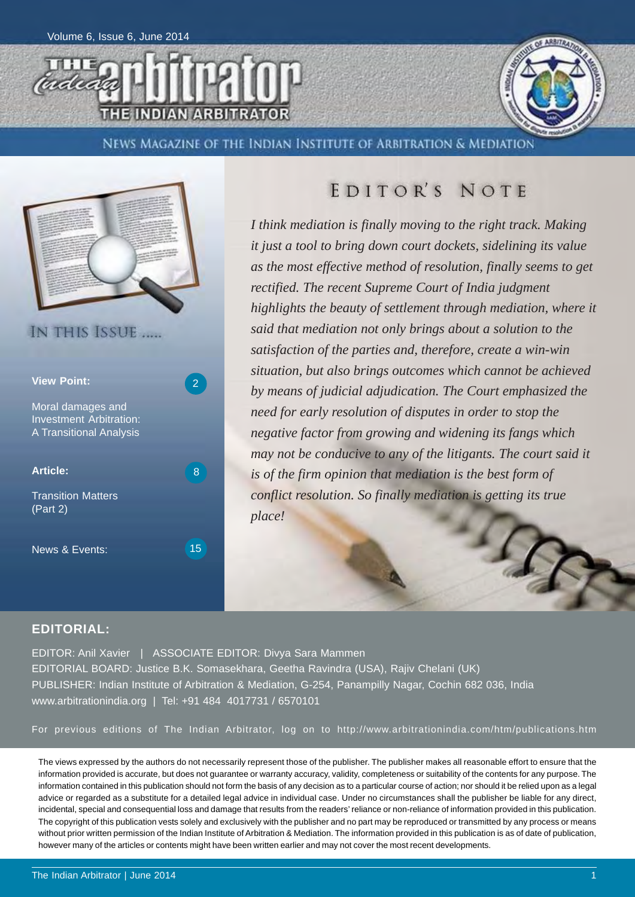



NEWS MAGAZINE OF THE INDIAN INSTITUTE OF ARBITRATION & MEDIATION



### **EDITOR'S NOTE**

*I think mediation is finally moving to the right track. Making it just a tool to bring down court dockets, sidelining its value as the most effective method of resolution, finally seems to get rectified. The recent Supreme Court of India judgment highlights the beauty of settlement through mediation, where it said that mediation not only brings about a solution to the satisfaction of the parties and, therefore, create a win-win situation, but also brings outcomes which cannot be achieved by means of judicial adjudication. The Court emphasized the need for early resolution of disputes in order to stop the negative factor from growing and widening its fangs which may not be conducive to any of the litigants. The court said it is of the firm opinion that mediation is the best form of conflict resolution. So finally mediation is getting its true place!*

#### **EDITORIAL:**

EDITOR: Anil Xavier | ASSOCIATE EDITOR: Divya Sara Mammen EDITORIAL BOARD: Justice B.K. Somasekhara, Geetha Ravindra (USA), Rajiv Chelani (UK) PUBLISHER: Indian Institute of Arbitration & Mediation, G-254, Panampilly Nagar, Cochin 682 036, India www.arbitrationindia.org | Tel: +91 484 4017731 / 6570101

For previous editions of The Indian Arbitrator, log on to http://www.arbitrationindia.com/htm/publications.htm

The views expressed by the authors do not necessarily represent those of the publisher. The publisher makes all reasonable effort to ensure that the information provided is accurate, but does not guarantee or warranty accuracy, validity, completeness or suitability of the contents for any purpose. The information contained in this publication should not form the basis of any decision as to a particular course of action; nor should it be relied upon as a legal advice or regarded as a substitute for a detailed legal advice in individual case. Under no circumstances shall the publisher be liable for any direct, incidental, special and consequential loss and damage that results from the readers' reliance or non-reliance of information provided in this publication. The copyright of this publication vests solely and exclusively with the publisher and no part may be reproduced or transmitted by any process or means without prior written permission of the Indian Institute of Arbitration & Mediation. The information provided in this publication is as of date of publication, however many of the articles or contents might have been written earlier and may not cover the most recent developments.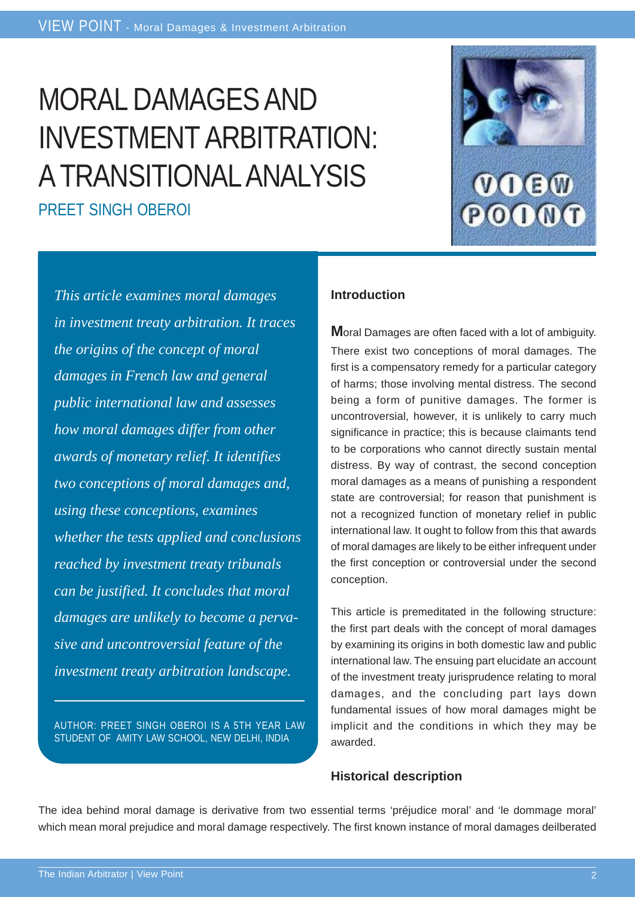# MORAL DAMAGES AND INVESTMENT ARBITRATION: A TRANSITIONAL ANALYSIS

PREET SINGH OBEROI



*This article examines moral damages in investment treaty arbitration. It traces the origins of the concept of moral damages in French law and general public international law and assesses how moral damages differ from other awards of monetary relief. It identifies two conceptions of moral damages and, using these conceptions, examines whether the tests applied and conclusions reached by investment treaty tribunals can be justified. It concludes that moral damages are unlikely to become a pervasive and uncontroversial feature of the investment treaty arbitration landscape.*

AUTHOR: PREET SINGH OBEROI IS A 5TH YEAR LAW STUDENT OF AMITY LAW SCHOOL, NEW DELHI, INDIA

#### **Introduction**

**M**oral Damages are often faced with a lot of ambiguity. There exist two conceptions of moral damages. The first is a compensatory remedy for a particular category of harms; those involving mental distress. The second being a form of punitive damages. The former is uncontroversial, however, it is unlikely to carry much significance in practice; this is because claimants tend to be corporations who cannot directly sustain mental distress. By way of contrast, the second conception moral damages as a means of punishing a respondent state are controversial; for reason that punishment is not a recognized function of monetary relief in public international law. It ought to follow from this that awards of moral damages are likely to be either infrequent under the first conception or controversial under the second conception.

This article is premeditated in the following structure: the first part deals with the concept of moral damages by examining its origins in both domestic law and public international law. The ensuing part elucidate an account of the investment treaty jurisprudence relating to moral damages, and the concluding part lays down fundamental issues of how moral damages might be implicit and the conditions in which they may be awarded.

#### **Historical description**

The idea behind moral damage is derivative from two essential terms 'préjudice moral' and 'le dommage moral' which mean moral prejudice and moral damage respectively. The first known instance of moral damages deilberated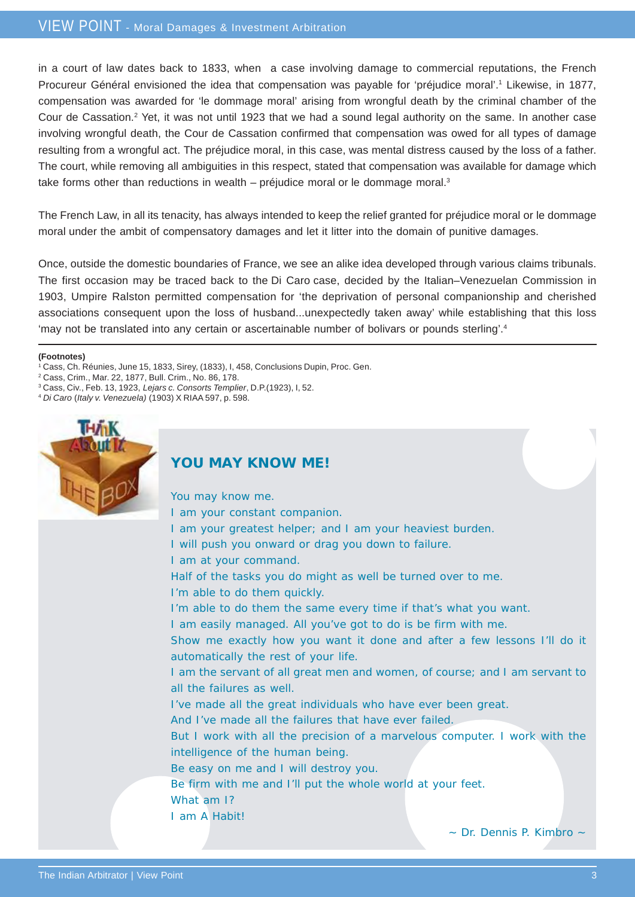in a court of law dates back to 1833, when a case involving damage to commercial reputations, the French Procureur Général envisioned the idea that compensation was payable for 'préjudice moral'.<sup>1</sup> Likewise, in 1877, compensation was awarded for 'le dommage moral' arising from wrongful death by the criminal chamber of the Cour de Cassation.<sup>2</sup> Yet, it was not until 1923 that we had a sound legal authority on the same. In another case involving wrongful death, the Cour de Cassation confirmed that compensation was owed for all types of damage resulting from a wrongful act. The préjudice moral, in this case, was mental distress caused by the loss of a father. The court, while removing all ambiguities in this respect, stated that compensation was available for damage which take forms other than reductions in wealth – préjudice moral or le dommage moral.<sup>3</sup>

The French Law, in all its tenacity, has always intended to keep the relief granted for préjudice moral or le dommage moral under the ambit of compensatory damages and let it litter into the domain of punitive damages.

Once, outside the domestic boundaries of France, we see an alike idea developed through various claims tribunals. The first occasion may be traced back to the Di Caro case, decided by the Italian–Venezuelan Commission in 1903, Umpire Ralston permitted compensation for 'the deprivation of personal companionship and cherished associations consequent upon the loss of husband...unexpectedly taken away' while establishing that this loss 'may not be translated into any certain or ascertainable number of bolivars or pounds sterling'.4

#### **(Footnotes)**

- 1 Cass, Ch. Réunies, June 15, 1833, Sirey, (1833), I, 458, Conclusions Dupin, Proc. Gen.
- 2 Cass, Crim., Mar. 22, 1877, Bull. Crim., No. 86, 178.
- 3 Cass, Civ., Feb. 13, 1923, *Lejars c. Consorts Templier*, D.P.(1923), I, 52.
- <sup>4</sup> *Di Caro* (*Italy v. Venezuela)* (1903) X RIAA 597, p. 598.



#### **YOU MAY KNOW ME!**

You may know me.

- I am your constant companion.
- I am your greatest helper; and I am your heaviest burden.
- I will push you onward or drag you down to failure.
- I am at your command.
- Half of the tasks you do might as well be turned over to me.
- I'm able to do them quickly.
	- I'm able to do them the same every time if that's what you want.
- I am easily managed. All you've got to do is be firm with me.
- Show me exactly how you want it done and after a few lessons I'll do it automatically the rest of your life.
- I am the servant of all great men and women, of course; and I am servant to all the failures as well.
- I've made all the great individuals who have ever been great.
- And I've made all the failures that have ever failed.
- But I work with all the precision of a marvelous computer. I work with the intelligence of the human being.
- Be easy on me and I will destroy you.
- Be firm with me and I'll put the whole world at your feet.
- What am I?
- I am A Habit!

~ Dr. Dennis P. Kimbro ~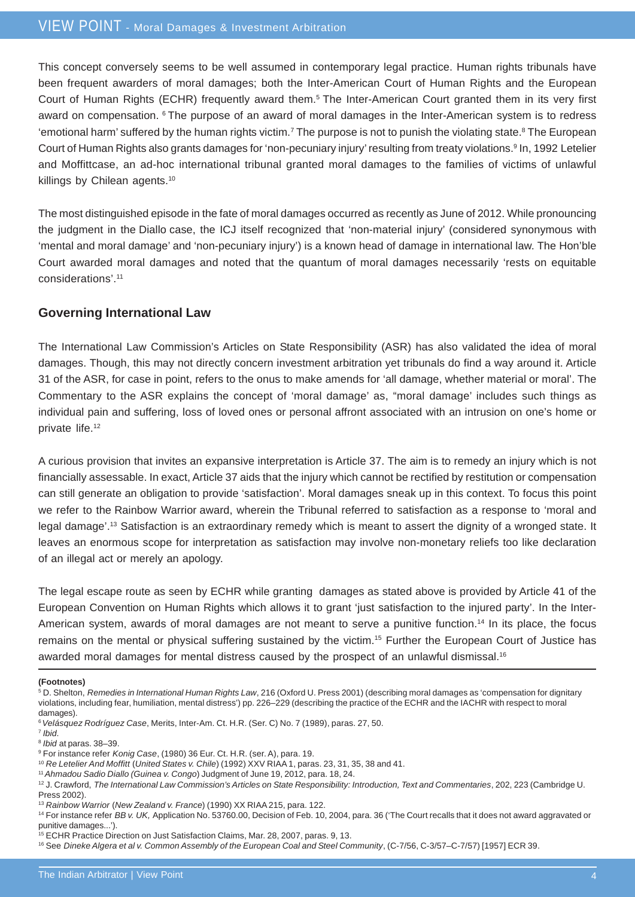#### VIEW POINT - Moral Damages & Investment Arbitration

This concept conversely seems to be well assumed in contemporary legal practice. Human rights tribunals have been frequent awarders of moral damages; both the Inter-American Court of Human Rights and the European Court of Human Rights (ECHR) frequently award them.<sup>5</sup> The Inter-American Court granted them in its very first award on compensation. 6 The purpose of an award of moral damages in the Inter-American system is to redress 'emotional harm' suffered by the human rights victim.<sup>7</sup> The purpose is not to punish the violating state.<sup>8</sup> The European Court of Human Rights also grants damages for 'non-pecuniary injury' resulting from treaty violations.<sup>9</sup> In, 1992 Letelier and Moffittcase, an ad-hoc international tribunal granted moral damages to the families of victims of unlawful killings by Chilean agents.<sup>10</sup>

The most distinguished episode in the fate of moral damages occurred as recently as June of 2012. While pronouncing the judgment in the Diallo case, the ICJ itself recognized that 'non-material injury' (considered synonymous with 'mental and moral damage' and 'non-pecuniary injury') is a known head of damage in international law. The Hon'ble Court awarded moral damages and noted that the quantum of moral damages necessarily 'rests on equitable considerations'.11

#### **Governing International Law**

The International Law Commission's Articles on State Responsibility (ASR) has also validated the idea of moral damages. Though, this may not directly concern investment arbitration yet tribunals do find a way around it. Article 31 of the ASR, for case in point, refers to the onus to make amends for 'all damage, whether material or moral'. The Commentary to the ASR explains the concept of 'moral damage' as, "moral damage' includes such things as individual pain and suffering, loss of loved ones or personal affront associated with an intrusion on one's home or private life.12

A curious provision that invites an expansive interpretation is Article 37. The aim is to remedy an injury which is not financially assessable. In exact, Article 37 aids that the injury which cannot be rectified by restitution or compensation can still generate an obligation to provide 'satisfaction'. Moral damages sneak up in this context. To focus this point we refer to the Rainbow Warrior award, wherein the Tribunal referred to satisfaction as a response to 'moral and legal damage'.13 Satisfaction is an extraordinary remedy which is meant to assert the dignity of a wronged state. It leaves an enormous scope for interpretation as satisfaction may involve non-monetary reliefs too like declaration of an illegal act or merely an apology.

The legal escape route as seen by ECHR while granting damages as stated above is provided by Article 41 of the European Convention on Human Rights which allows it to grant 'just satisfaction to the injured party'. In the Inter-American system, awards of moral damages are not meant to serve a punitive function.14 In its place, the focus remains on the mental or physical suffering sustained by the victim.15 Further the European Court of Justice has awarded moral damages for mental distress caused by the prospect of an unlawful dismissal.<sup>16</sup>

#### **(Footnotes)**

<sup>8</sup> *Ibid* at paras. 38–39.

<sup>5</sup> D. Shelton, *Remedies in International Human Rights Law*, 216 (Oxford U. Press 2001) (describing moral damages as 'compensation for dignitary violations, including fear, humiliation, mental distress') pp. 226–229 (describing the practice of the ECHR and the IACHR with respect to moral damages).

<sup>6</sup>*Velásquez Rodríguez Case*, Merits, Inter-Am. Ct. H.R. (Ser. C) No. 7 (1989), paras. 27, 50.

<sup>7</sup> *Ibid*.

<sup>9</sup> For instance refer *Konig Case*, (1980) 36 Eur. Ct. H.R. (ser. A), para. 19.

<sup>10</sup> *Re Letelier And Moffitt* (*United States v. Chile*) (1992) XXV RIAA 1, paras. 23, 31, 35, 38 and 41.

<sup>11</sup>*Ahmadou Sadio Diallo (Guinea v. Congo*) Judgment of June 19, 2012, para. 18, 24.

<sup>&</sup>lt;sup>12</sup> J. Crawford, The International Law Commission's Articles on State Responsibility: Introduction, Text and Commentaries, 202, 223 (Cambridge U. Press 2002).

<sup>13</sup> *Rainbow Warrior* (*New Zealand v. France*) (1990) XX RIAA 215, para. 122.

<sup>&</sup>lt;sup>14</sup> For instance refer *BB v. UK, Application No.* 53760.00, Decision of Feb. 10, 2004, para. 36 ('The Court recalls that it does not award aggravated or punitive damages...').

<sup>15</sup> ECHR Practice Direction on Just Satisfaction Claims, Mar. 28, 2007, paras. 9, 13.

<sup>16</sup> See *Dineke Algera et al v. Common Assembly of the European Coal and Steel Community*, (C-7/56, C-3/57–C-7/57) [1957] ECR 39.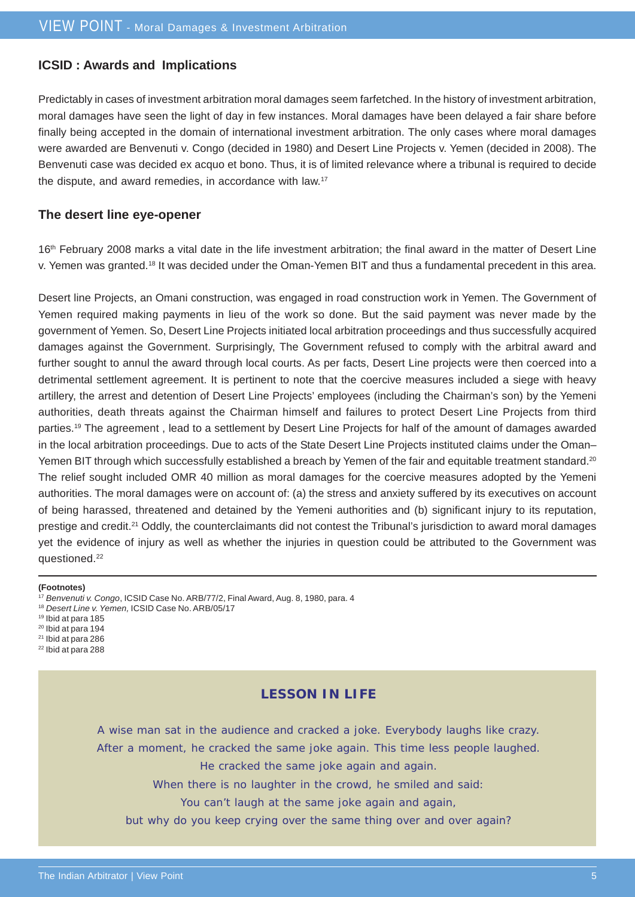#### **ICSID : Awards and Implications**

Predictably in cases of investment arbitration moral damages seem farfetched. In the history of investment arbitration, moral damages have seen the light of day in few instances. Moral damages have been delayed a fair share before finally being accepted in the domain of international investment arbitration. The only cases where moral damages were awarded are Benvenuti v. Congo (decided in 1980) and Desert Line Projects v. Yemen (decided in 2008). The Benvenuti case was decided ex acquo et bono. Thus, it is of limited relevance where a tribunal is required to decide the dispute, and award remedies, in accordance with law.17

#### **The desert line eye-opener**

16<sup>th</sup> February 2008 marks a vital date in the life investment arbitration; the final award in the matter of Desert Line v. Yemen was granted.18 It was decided under the Oman-Yemen BIT and thus a fundamental precedent in this area.

Desert line Projects, an Omani construction, was engaged in road construction work in Yemen. The Government of Yemen required making payments in lieu of the work so done. But the said payment was never made by the government of Yemen. So, Desert Line Projects initiated local arbitration proceedings and thus successfully acquired damages against the Government. Surprisingly, The Government refused to comply with the arbitral award and further sought to annul the award through local courts. As per facts, Desert Line projects were then coerced into a detrimental settlement agreement. It is pertinent to note that the coercive measures included a siege with heavy artillery, the arrest and detention of Desert Line Projects' employees (including the Chairman's son) by the Yemeni authorities, death threats against the Chairman himself and failures to protect Desert Line Projects from third parties.19 The agreement , lead to a settlement by Desert Line Projects for half of the amount of damages awarded in the local arbitration proceedings. Due to acts of the State Desert Line Projects instituted claims under the Oman– Yemen BIT through which successfully established a breach by Yemen of the fair and equitable treatment standard.<sup>20</sup> The relief sought included OMR 40 million as moral damages for the coercive measures adopted by the Yemeni authorities. The moral damages were on account of: (a) the stress and anxiety suffered by its executives on account of being harassed, threatened and detained by the Yemeni authorities and (b) significant injury to its reputation, prestige and credit.21 Oddly, the counterclaimants did not contest the Tribunal's jurisdiction to award moral damages yet the evidence of injury as well as whether the injuries in question could be attributed to the Government was questioned.22

#### **(Footnotes)**

- <sup>18</sup> *Desert Line v. Yemen,* ICSID Case No. ARB/05/17
- 19 Ibid at para 185
- 20 Ibid at para 194
- 21 Ibid at para 286  $22$  Ibid at para 288
- 

#### **LESSON IN LIFE**

A wise man sat in the audience and cracked a joke. Everybody laughs like crazy.

After a moment, he cracked the same joke again. This time less people laughed.

He cracked the same joke again and again.

When there is no laughter in the crowd, he smiled and said:

You can't laugh at the same joke again and again,

but why do you keep crying over the same thing over and over again?

<sup>17</sup> *Benvenuti v. Congo*, ICSID Case No. ARB/77/2, Final Award, Aug. 8, 1980, para. 4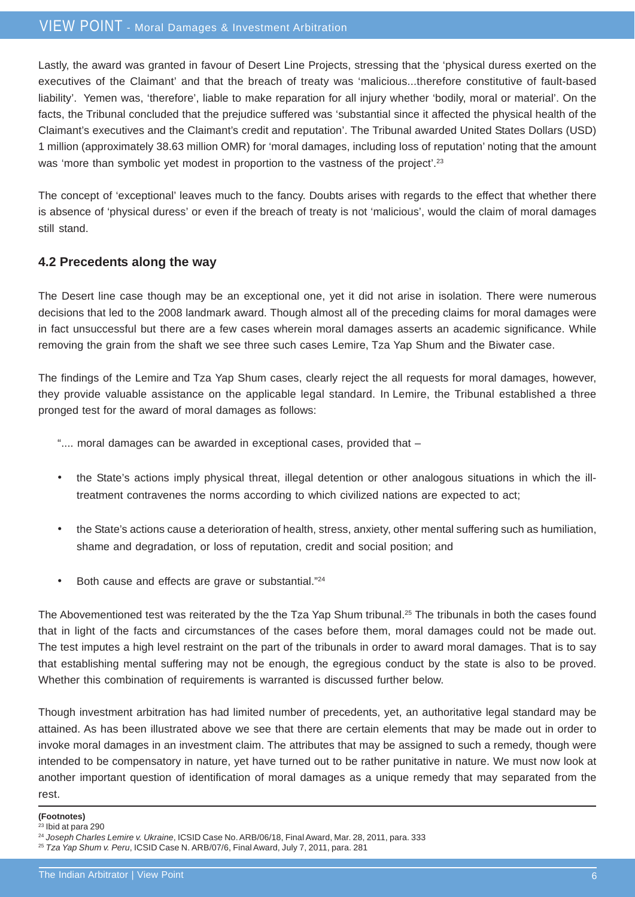#### VIEW POINT - Moral Damages & Investment Arbitration

Lastly, the award was granted in favour of Desert Line Projects, stressing that the 'physical duress exerted on the executives of the Claimant' and that the breach of treaty was 'malicious...therefore constitutive of fault-based liability'. Yemen was, 'therefore', liable to make reparation for all injury whether 'bodily, moral or material'. On the facts, the Tribunal concluded that the prejudice suffered was 'substantial since it affected the physical health of the Claimant's executives and the Claimant's credit and reputation'. The Tribunal awarded United States Dollars (USD) 1 million (approximately 38.63 million OMR) for 'moral damages, including loss of reputation' noting that the amount was 'more than symbolic yet modest in proportion to the vastness of the project'.<sup>23</sup>

The concept of 'exceptional' leaves much to the fancy. Doubts arises with regards to the effect that whether there is absence of 'physical duress' or even if the breach of treaty is not 'malicious', would the claim of moral damages still stand.

#### **4.2 Precedents along the way**

The Desert line case though may be an exceptional one, yet it did not arise in isolation. There were numerous decisions that led to the 2008 landmark award. Though almost all of the preceding claims for moral damages were in fact unsuccessful but there are a few cases wherein moral damages asserts an academic significance. While removing the grain from the shaft we see three such cases Lemire, Tza Yap Shum and the Biwater case.

The findings of the Lemire and Tza Yap Shum cases, clearly reject the all requests for moral damages, however, they provide valuable assistance on the applicable legal standard. In Lemire, the Tribunal established a three pronged test for the award of moral damages as follows:

".... moral damages can be awarded in exceptional cases, provided that –

- the State's actions imply physical threat, illegal detention or other analogous situations in which the illtreatment contravenes the norms according to which civilized nations are expected to act;
- the State's actions cause a deterioration of health, stress, anxiety, other mental suffering such as humiliation, shame and degradation, or loss of reputation, credit and social position; and
- Both cause and effects are grave or substantial."24

The Abovementioned test was reiterated by the the Tza Yap Shum tribunal.<sup>25</sup> The tribunals in both the cases found that in light of the facts and circumstances of the cases before them, moral damages could not be made out. The test imputes a high level restraint on the part of the tribunals in order to award moral damages. That is to say that establishing mental suffering may not be enough, the egregious conduct by the state is also to be proved. Whether this combination of requirements is warranted is discussed further below.

Though investment arbitration has had limited number of precedents, yet, an authoritative legal standard may be attained. As has been illustrated above we see that there are certain elements that may be made out in order to invoke moral damages in an investment claim. The attributes that may be assigned to such a remedy, though were intended to be compensatory in nature, yet have turned out to be rather punitative in nature. We must now look at another important question of identification of moral damages as a unique remedy that may separated from the rest.

#### **(Footnotes)**

23 Ibid at para 290

<sup>24</sup> *Joseph Charles Lemire v. Ukraine*, ICSID Case No. ARB/06/18, Final Award, Mar. 28, 2011, para. 333

<sup>25</sup> *Tza Yap Shum v. Peru*, ICSID Case N. ARB/07/6, Final Award, July 7, 2011, para. 281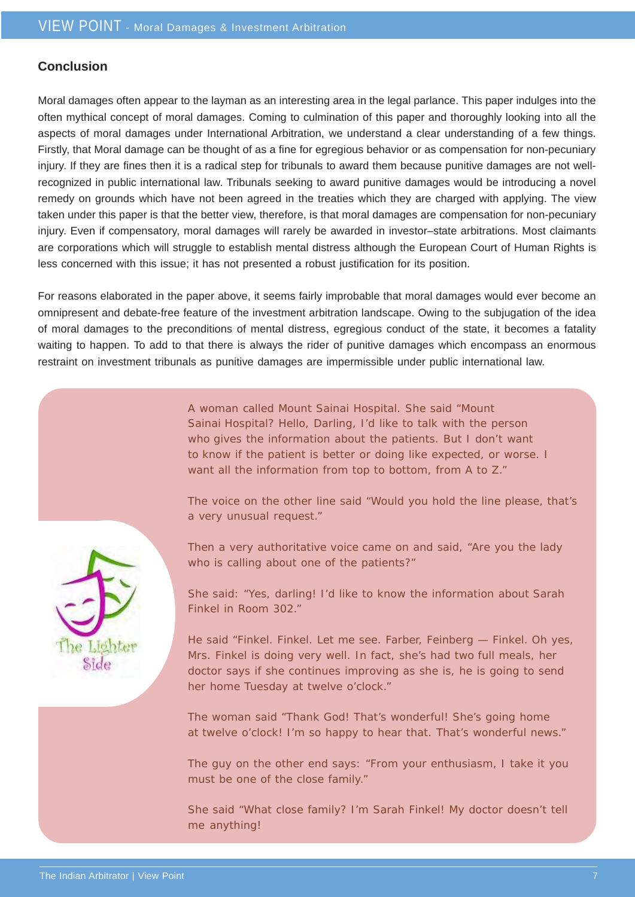#### **Conclusion**

Moral damages often appear to the layman as an interesting area in the legal parlance. This paper indulges into the often mythical concept of moral damages. Coming to culmination of this paper and thoroughly looking into all the aspects of moral damages under International Arbitration, we understand a clear understanding of a few things. Firstly, that Moral damage can be thought of as a fine for egregious behavior or as compensation for non-pecuniary injury. If they are fines then it is a radical step for tribunals to award them because punitive damages are not wellrecognized in public international law. Tribunals seeking to award punitive damages would be introducing a novel remedy on grounds which have not been agreed in the treaties which they are charged with applying. The view taken under this paper is that the better view, therefore, is that moral damages are compensation for non-pecuniary injury. Even if compensatory, moral damages will rarely be awarded in investor–state arbitrations. Most claimants are corporations which will struggle to establish mental distress although the European Court of Human Rights is less concerned with this issue; it has not presented a robust justification for its position.

For reasons elaborated in the paper above, it seems fairly improbable that moral damages would ever become an omnipresent and debate-free feature of the investment arbitration landscape. Owing to the subjugation of the idea of moral damages to the preconditions of mental distress, egregious conduct of the state, it becomes a fatality waiting to happen. To add to that there is always the rider of punitive damages which encompass an enormous restraint on investment tribunals as punitive damages are impermissible under public international law.

> A woman called Mount Sainai Hospital. She said "Mount Sainai Hospital? Hello, Darling, I'd like to talk with the person who gives the information about the patients. But I don't want to know if the patient is better or doing like expected, or worse. I want all the information from top to bottom, from A to Z."

The voice on the other line said "Would you hold the line please, that's a very unusual request."



Then a very authoritative voice came on and said, "Are you the lady who is calling about one of the patients?"

She said: "Yes, darling! I'd like to know the information about Sarah Finkel in Room 302."

He said "Finkel. Finkel. Let me see. Farber, Feinberg — Finkel. Oh yes, Mrs. Finkel is doing very well. In fact, she's had two full meals, her doctor says if she continues improving as she is, he is going to send her home Tuesday at twelve o'clock."

The woman said "Thank God! That's wonderful! She's going home at twelve o'clock! I'm so happy to hear that. That's wonderful news."

The guy on the other end says: "From your enthusiasm, I take it you must be one of the close family."

She said "What close family? I'm Sarah Finkel! My doctor doesn't tell me anything!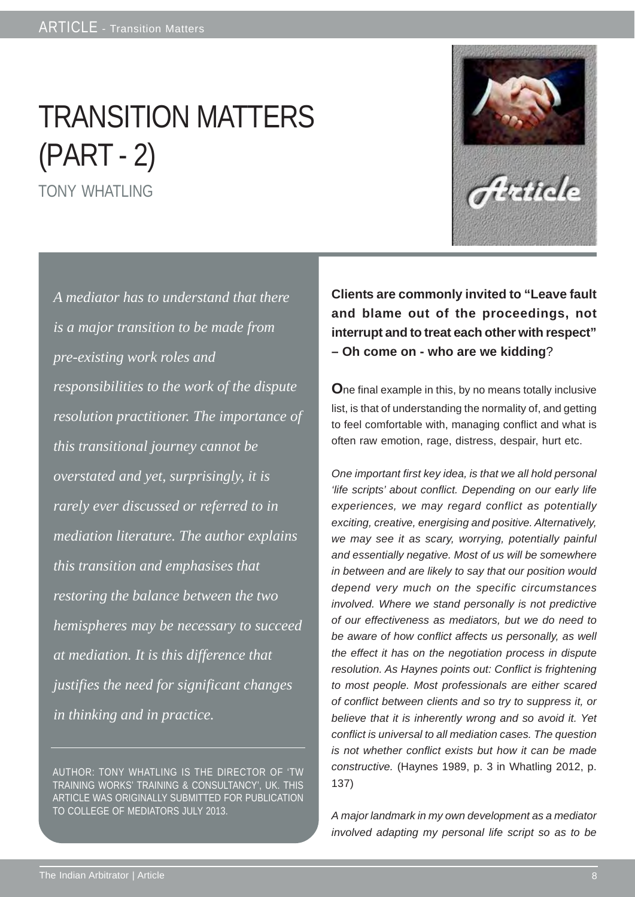# TRANSITION MATTERS (PART - 2)

TONY WHATLING

*A mediator has to understand that there is a major transition to be made from pre-existing work roles and responsibilities to the work of the dispute resolution practitioner. The importance of this transitional journey cannot be overstated and yet, surprisingly, it is rarely ever discussed or referred to in mediation literature. The author explains this transition and emphasises that restoring the balance between the two hemispheres may be necessary to succeed at mediation. It is this difference that justifies the need for significant changes in thinking and in practice.*

AUTHOR: TONY WHATLING IS THE DIRECTOR OF 'TW TRAINING WORKS' TRAINING & CONSULTANCY', UK. THIS ARTICLE WAS ORIGINALLY SUBMITTED FOR PUBLICATION TO COLLEGE OF MEDIATORS JULY 2013.

**Clients are commonly invited to "Leave fault and blame out of the proceedings, not interrupt and to treat each other with respect" – Oh come on - who are we kidding**?

**O**ne final example in this, by no means totally inclusive list, is that of understanding the normality of, and getting to feel comfortable with, managing conflict and what is often raw emotion, rage, distress, despair, hurt etc.

*One important first key idea, is that we all hold personal 'life scripts' about conflict. Depending on our early life experiences, we may regard conflict as potentially exciting, creative, energising and positive. Alternatively, we may see it as scary, worrying, potentially painful and essentially negative. Most of us will be somewhere in between and are likely to say that our position would depend very much on the specific circumstances involved. Where we stand personally is not predictive of our effectiveness as mediators, but we do need to be aware of how conflict affects us personally, as well the effect it has on the negotiation process in dispute resolution. As Haynes points out: Conflict is frightening to most people. Most professionals are either scared of conflict between clients and so try to suppress it, or believe that it is inherently wrong and so avoid it. Yet conflict is universal to all mediation cases. The question is not whether conflict exists but how it can be made constructive.* (Haynes 1989, p. 3 in Whatling 2012, p. 137)

*A major landmark in my own development as a mediator involved adapting my personal life script so as to be*

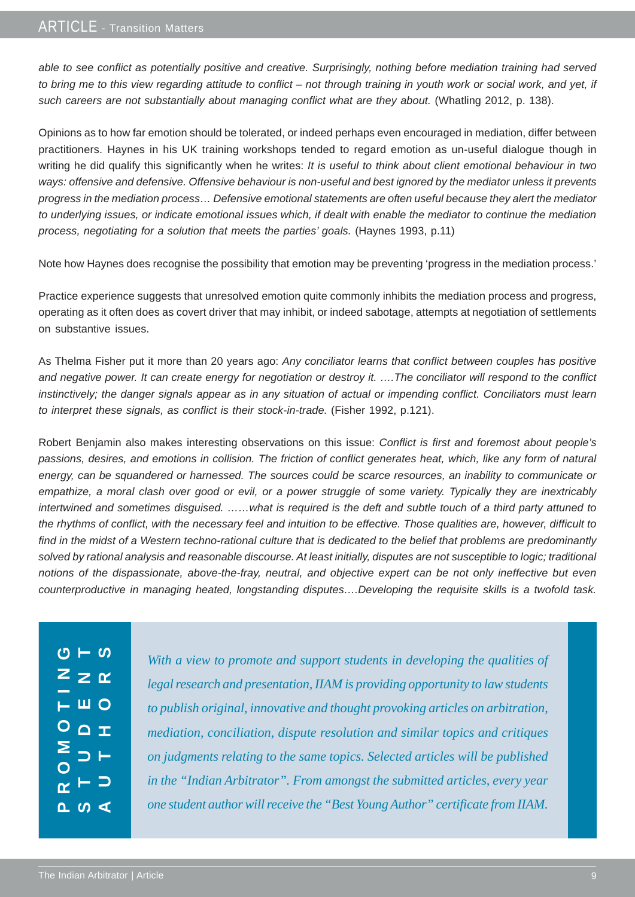*able to see conflict as potentially positive and creative. Surprisingly, nothing before mediation training had served to bring me to this view regarding attitude to conflict – not through training in youth work or social work, and yet, if* such careers are not substantially about managing conflict what are they about. (Whatling 2012, p. 138).

Opinions as to how far emotion should be tolerated, or indeed perhaps even encouraged in mediation, differ between practitioners. Haynes in his UK training workshops tended to regard emotion as un-useful dialogue though in writing he did qualify this significantly when he writes: *It is useful to think about client emotional behaviour in two ways: offensive and defensive. Offensive behaviour is non-useful and best ignored by the mediator unless it prevents progress in the mediation process… Defensive emotional statements are often useful because they alert the mediator to underlying issues, or indicate emotional issues which, if dealt with enable the mediator to continue the mediation process, negotiating for a solution that meets the parties' goals.* (Haynes 1993, p.11)

Note how Haynes does recognise the possibility that emotion may be preventing 'progress in the mediation process.'

Practice experience suggests that unresolved emotion quite commonly inhibits the mediation process and progress, operating as it often does as covert driver that may inhibit, or indeed sabotage, attempts at negotiation of settlements on substantive issues.

As Thelma Fisher put it more than 20 years ago: *Any conciliator learns that conflict between couples has positive and negative power. It can create energy for negotiation or destroy it. ….The conciliator will respond to the conflict instinctively; the danger signals appear as in any situation of actual or impending conflict. Conciliators must learn to interpret these signals, as conflict is their stock-in-trade.* (Fisher 1992, p.121).

Robert Benjamin also makes interesting observations on this issue: *Conflict is first and foremost about people's passions, desires, and emotions in collision. The friction of conflict generates heat, which, like any form of natural energy, can be squandered or harnessed. The sources could be scarce resources, an inability to communicate or empathize, a moral clash over good or evil, or a power struggle of some variety. Typically they are inextricably intertwined and sometimes disguised. ……what is required is the deft and subtle touch of a third party attuned to the rhythms of conflict, with the necessary feel and intuition to be effective. Those qualities are, however, difficult to find in the midst of a Western techno-rational culture that is dedicated to the belief that problems are predominantly solved by rational analysis and reasonable discourse. At least initially, disputes are not susceptible to logic; traditional notions of the dispassionate, above-the-fray, neutral, and objective expert can be not only ineffective but even counterproductive in managing heated, longstanding disputes….Developing the requisite skills is a twofold task.*

|                         | $\frac{1}{\sqrt{2}}$                         |  |
|-------------------------|----------------------------------------------|--|
|                         | $Z$ $\geq$ $\alpha$                          |  |
|                         | $\overline{L}$ $\overline{M}$ $\overline{O}$ |  |
|                         | $O_$                                         |  |
|                         | ESP                                          |  |
| $\overline{\mathsf{O}}$ |                                              |  |
|                         | $\alpha$ $\vdash$ $\supset$                  |  |
|                         | $\frac{1}{2}$                                |  |

*With a view to promote and support students in developing the qualities of legal research and presentation, IIAM is providing opportunity to law students to publish original, innovative and thought provoking articles on arbitration, mediation, conciliation, dispute resolution and similar topics and critiques on judgments relating to the same topics. Selected articles will be published in the "Indian Arbitrator". From amongst the submitted articles, every year one student author will receive the "Best Young Author" certificate from IIAM.*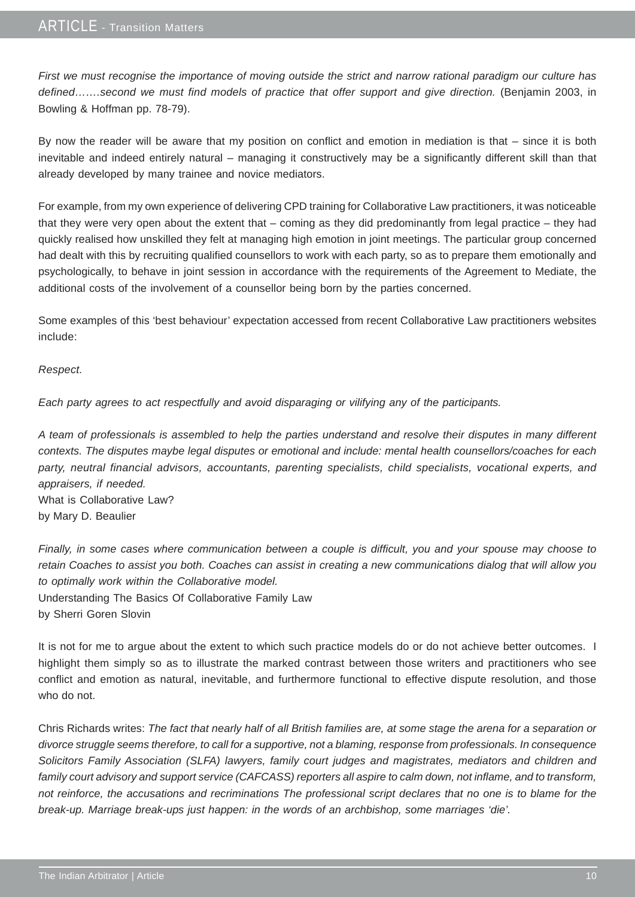#### ARTICLE - Transition Matters

*First we must recognise the importance of moving outside the strict and narrow rational paradigm our culture has* defined…….second we must find models of practice that offer support and give direction. (Benjamin 2003, in Bowling & Hoffman pp. 78-79).

By now the reader will be aware that my position on conflict and emotion in mediation is that – since it is both inevitable and indeed entirely natural – managing it constructively may be a significantly different skill than that already developed by many trainee and novice mediators.

For example, from my own experience of delivering CPD training for Collaborative Law practitioners, it was noticeable that they were very open about the extent that – coming as they did predominantly from legal practice – they had quickly realised how unskilled they felt at managing high emotion in joint meetings. The particular group concerned had dealt with this by recruiting qualified counsellors to work with each party, so as to prepare them emotionally and psychologically, to behave in joint session in accordance with the requirements of the Agreement to Mediate, the additional costs of the involvement of a counsellor being born by the parties concerned.

Some examples of this 'best behaviour' expectation accessed from recent Collaborative Law practitioners websites include:

#### *Respect.*

*Each party agrees to act respectfully and avoid disparaging or vilifying any of the participants.*

*A team of professionals is assembled to help the parties understand and resolve their disputes in many different contexts. The disputes maybe legal disputes or emotional and include: mental health counsellors/coaches for each party, neutral financial advisors, accountants, parenting specialists, child specialists, vocational experts, and appraisers, if needed.* What is Collaborative Law? by Mary D. Beaulier

*Finally, in some cases where communication between a couple is difficult, you and your spouse may choose to retain Coaches to assist you both. Coaches can assist in creating a new communications dialog that will allow you to optimally work within the Collaborative model.* Understanding The Basics Of Collaborative Family Law by Sherri Goren Slovin

It is not for me to argue about the extent to which such practice models do or do not achieve better outcomes. I highlight them simply so as to illustrate the marked contrast between those writers and practitioners who see conflict and emotion as natural, inevitable, and furthermore functional to effective dispute resolution, and those who do not.

Chris Richards writes: *The fact that nearly half of all British families are, at some stage the arena for a separation or divorce struggle seems therefore, to call for a supportive, not a blaming, response from professionals. In consequence Solicitors Family Association (SLFA) lawyers, family court judges and magistrates, mediators and children and family court advisory and support service (CAFCASS) reporters all aspire to calm down, not inflame, and to transform, not reinforce, the accusations and recriminations The professional script declares that no one is to blame for the break-up. Marriage break-ups just happen: in the words of an archbishop, some marriages 'die'.*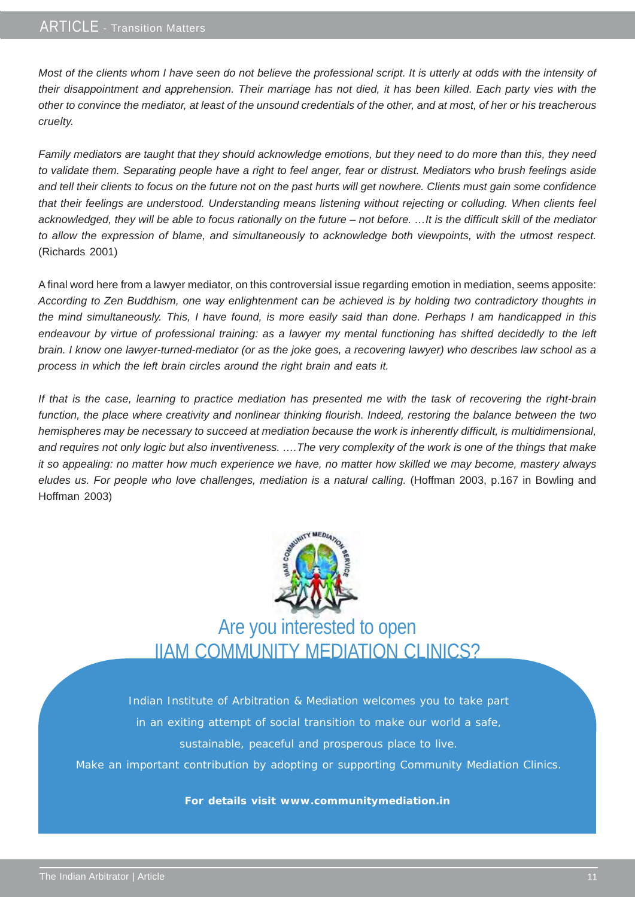*Most of the clients whom I have seen do not believe the professional script. It is utterly at odds with the intensity of their disappointment and apprehension. Their marriage has not died, it has been killed. Each party vies with the other to convince the mediator, at least of the unsound credentials of the other, and at most, of her or his treacherous cruelty.*

*Family mediators are taught that they should acknowledge emotions, but they need to do more than this, they need to validate them. Separating people have a right to feel anger, fear or distrust. Mediators who brush feelings aside and tell their clients to focus on the future not on the past hurts will get nowhere. Clients must gain some confidence that their feelings are understood. Understanding means listening without rejecting or colluding. When clients feel acknowledged, they will be able to focus rationally on the future – not before. …It is the difficult skill of the mediator to allow the expression of blame, and simultaneously to acknowledge both viewpoints, with the utmost respect.* (Richards 2001)

A final word here from a lawyer mediator, on this controversial issue regarding emotion in mediation, seems apposite: *According to Zen Buddhism, one way enlightenment can be achieved is by holding two contradictory thoughts in the mind simultaneously. This, I have found, is more easily said than done. Perhaps I am handicapped in this endeavour by virtue of professional training: as a lawyer my mental functioning has shifted decidedly to the left brain. I know one lawyer-turned-mediator (or as the joke goes, a recovering lawyer) who describes law school as a process in which the left brain circles around the right brain and eats it.*

*If that is the case, learning to practice mediation has presented me with the task of recovering the right-brain function, the place where creativity and nonlinear thinking flourish. Indeed, restoring the balance between the two hemispheres may be necessary to succeed at mediation because the work is inherently difficult, is multidimensional, and requires not only logic but also inventiveness. ….The very complexity of the work is one of the things that make it so appealing: no matter how much experience we have, no matter how skilled we may become, mastery always eludes us. For people who love challenges, mediation is a natural calling.* (Hoffman 2003, p.167 in Bowling and Hoffman 2003)



Are you interested to open IIAM COMMUNITY MEDIATION CLINICS?

Indian Institute of Arbitration & Mediation welcomes you to take part in an exiting attempt of social transition to make our world a safe,

sustainable, peaceful and prosperous place to live.

Make an important contribution by adopting or supporting Community Mediation Clinics.

#### **For details visit www.communitymediation.in**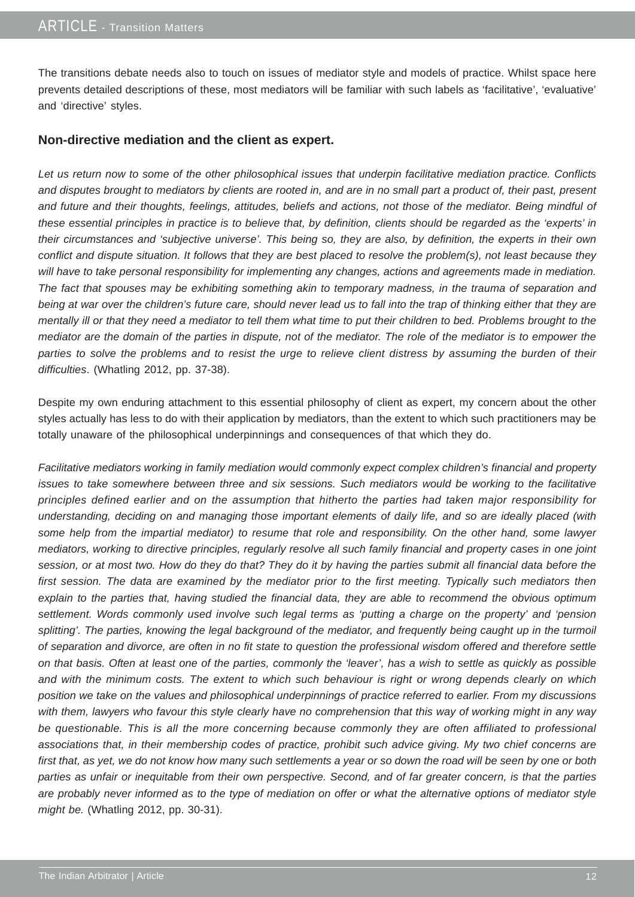The transitions debate needs also to touch on issues of mediator style and models of practice. Whilst space here prevents detailed descriptions of these, most mediators will be familiar with such labels as 'facilitative', 'evaluative' and 'directive' styles.

#### **Non-directive mediation and the client as expert.**

*Let us return now to some of the other philosophical issues that underpin facilitative mediation practice. Conflicts and disputes brought to mediators by clients are rooted in, and are in no small part a product of, their past, present and future and their thoughts, feelings, attitudes, beliefs and actions, not those of the mediator. Being mindful of these essential principles in practice is to believe that, by definition, clients should be regarded as the 'experts' in their circumstances and 'subjective universe'. This being so, they are also, by definition, the experts in their own conflict and dispute situation. It follows that they are best placed to resolve the problem(s), not least because they will have to take personal responsibility for implementing any changes, actions and agreements made in mediation. The fact that spouses may be exhibiting something akin to temporary madness, in the trauma of separation and being at war over the children's future care, should never lead us to fall into the trap of thinking either that they are mentally ill or that they need a mediator to tell them what time to put their children to bed. Problems brought to the mediator are the domain of the parties in dispute, not of the mediator. The role of the mediator is to empower the parties to solve the problems and to resist the urge to relieve client distress by assuming the burden of their difficulties*. (Whatling 2012, pp. 37-38).

Despite my own enduring attachment to this essential philosophy of client as expert, my concern about the other styles actually has less to do with their application by mediators, than the extent to which such practitioners may be totally unaware of the philosophical underpinnings and consequences of that which they do.

*Facilitative mediators working in family mediation would commonly expect complex children's financial and property issues to take somewhere between three and six sessions. Such mediators would be working to the facilitative principles defined earlier and on the assumption that hitherto the parties had taken major responsibility for understanding, deciding on and managing those important elements of daily life, and so are ideally placed (with some help from the impartial mediator) to resume that role and responsibility. On the other hand, some lawyer mediators, working to directive principles, regularly resolve all such family financial and property cases in one joint session, or at most two. How do they do that? They do it by having the parties submit all financial data before the first session. The data are examined by the mediator prior to the first meeting. Typically such mediators then explain to the parties that, having studied the financial data, they are able to recommend the obvious optimum settlement. Words commonly used involve such legal terms as 'putting a charge on the property' and 'pension splitting'. The parties, knowing the legal background of the mediator, and frequently being caught up in the turmoil of separation and divorce, are often in no fit state to question the professional wisdom offered and therefore settle on that basis. Often at least one of the parties, commonly the 'leaver', has a wish to settle as quickly as possible and with the minimum costs. The extent to which such behaviour is right or wrong depends clearly on which position we take on the values and philosophical underpinnings of practice referred to earlier. From my discussions with them, lawyers who favour this style clearly have no comprehension that this way of working might in any way be questionable. This is all the more concerning because commonly they are often affiliated to professional associations that, in their membership codes of practice, prohibit such advice giving. My two chief concerns are first that, as yet, we do not know how many such settlements a year or so down the road will be seen by one or both parties as unfair or inequitable from their own perspective. Second, and of far greater concern, is that the parties are probably never informed as to the type of mediation on offer or what the alternative options of mediator style might be.* (Whatling 2012, pp. 30-31).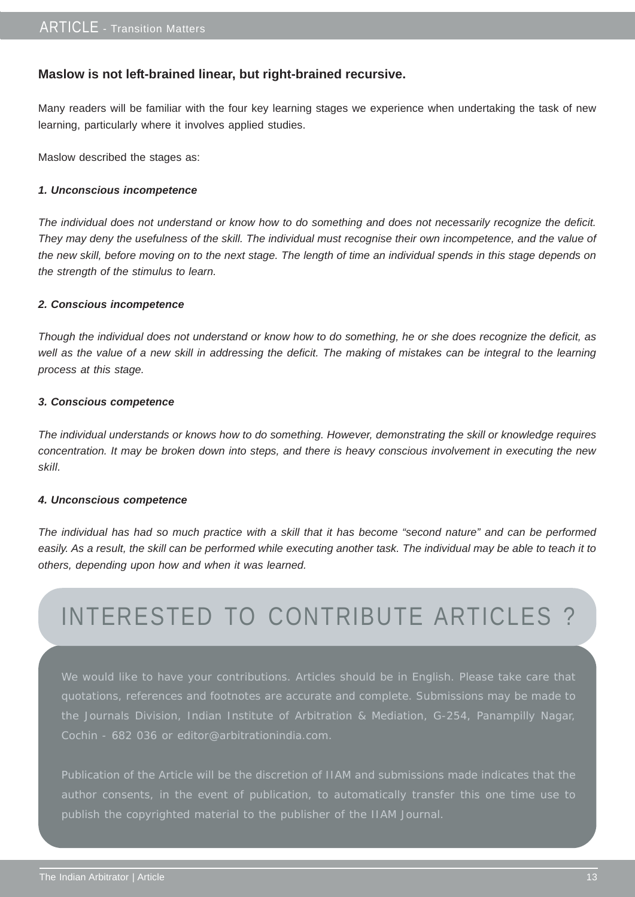#### **Maslow is not left-brained linear, but right-brained recursive.**

Many readers will be familiar with the four key learning stages we experience when undertaking the task of new learning, particularly where it involves applied studies.

Maslow described the stages as:

#### *1. Unconscious incompetence*

*The individual does not understand or know how to do something and does not necessarily recognize the deficit. They may deny the usefulness of the skill. The individual must recognise their own incompetence, and the value of the new skill, before moving on to the next stage. The length of time an individual spends in this stage depends on the strength of the stimulus to learn.*

#### *2. Conscious incompetence*

*Though the individual does not understand or know how to do something, he or she does recognize the deficit, as well as the value of a new skill in addressing the deficit. The making of mistakes can be integral to the learning process at this stage.*

#### *3. Conscious competence*

*The individual understands or knows how to do something. However, demonstrating the skill or knowledge requires concentration. It may be broken down into steps, and there is heavy conscious involvement in executing the new skill.*

#### *4. Unconscious competence*

*The individual has had so much practice with a skill that it has become "second nature" and can be performed easily. As a result, the skill can be performed while executing another task. The individual may be able to teach it to others, depending upon how and when it was learned.*

## INTERESTED TO CONTRIBUTE ARTICLES ?

We would like to have your contributions. Articles should be in English. Please take care that quotations, references and footnotes are accurate and complete. Submissions may be made to the Journals Division, Indian Institute of Arbitration & Mediation, G-254, Panampilly Nagar, Cochin - 682 036 or editor@arbitrationindia.com.

Publication of the Article will be the discretion of IIAM and submissions made indicates that the publish the copyrighted material to the publisher of the IIAM Journal.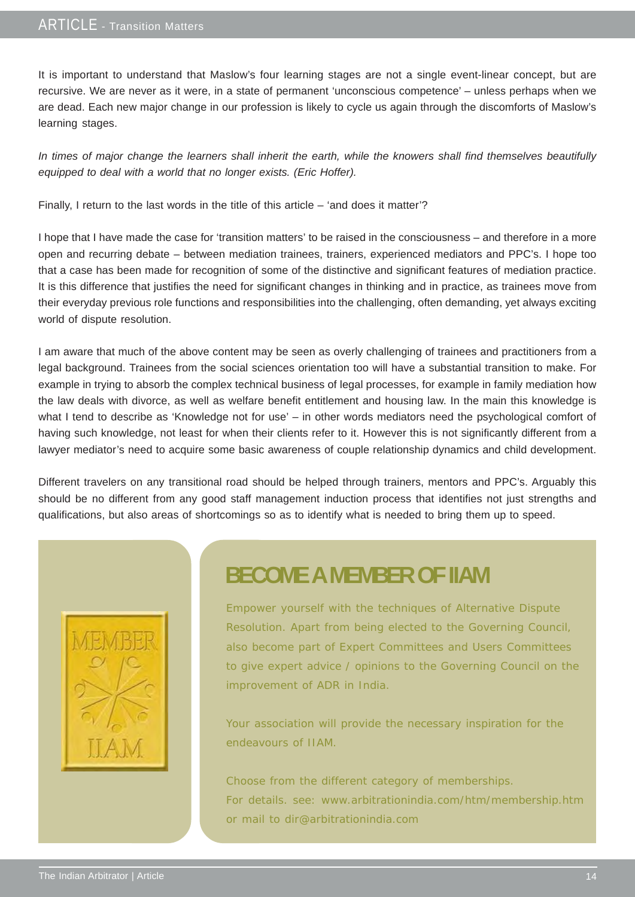#### ARTICLE - Transition Matters

It is important to understand that Maslow's four learning stages are not a single event-linear concept, but are recursive. We are never as it were, in a state of permanent 'unconscious competence' – unless perhaps when we are dead. Each new major change in our profession is likely to cycle us again through the discomforts of Maslow's learning stages.

*In times of major change the learners shall inherit the earth, while the knowers shall find themselves beautifully equipped to deal with a world that no longer exists. (Eric Hoffer).*

Finally, I return to the last words in the title of this article – 'and does it matter'?

I hope that I have made the case for 'transition matters' to be raised in the consciousness – and therefore in a more open and recurring debate – between mediation trainees, trainers, experienced mediators and PPC's. I hope too that a case has been made for recognition of some of the distinctive and significant features of mediation practice. It is this difference that justifies the need for significant changes in thinking and in practice, as trainees move from their everyday previous role functions and responsibilities into the challenging, often demanding, yet always exciting world of dispute resolution.

I am aware that much of the above content may be seen as overly challenging of trainees and practitioners from a legal background. Trainees from the social sciences orientation too will have a substantial transition to make. For example in trying to absorb the complex technical business of legal processes, for example in family mediation how the law deals with divorce, as well as welfare benefit entitlement and housing law. In the main this knowledge is what I tend to describe as 'Knowledge not for use' – in other words mediators need the psychological comfort of having such knowledge, not least for when their clients refer to it. However this is not significantly different from a lawyer mediator's need to acquire some basic awareness of couple relationship dynamics and child development.

Different travelers on any transitional road should be helped through trainers, mentors and PPC's. Arguably this should be no different from any good staff management induction process that identifies not just strengths and qualifications, but also areas of shortcomings so as to identify what is needed to bring them up to speed.



### **BECOME A MEMBER OF IIAM**

Empower yourself with the techniques of Alternative Dispute Resolution. Apart from being elected to the Governing Council, also become part of Expert Committees and Users Committees to give expert advice / opinions to the Governing Council on the improvement of ADR in India.

Your association will provide the necessary inspiration for the endeavours of IIAM.

Choose from the different category of memberships. For details. see: www.arbitrationindia.com/htm/membership.htm or mail to dir@arbitrationindia.com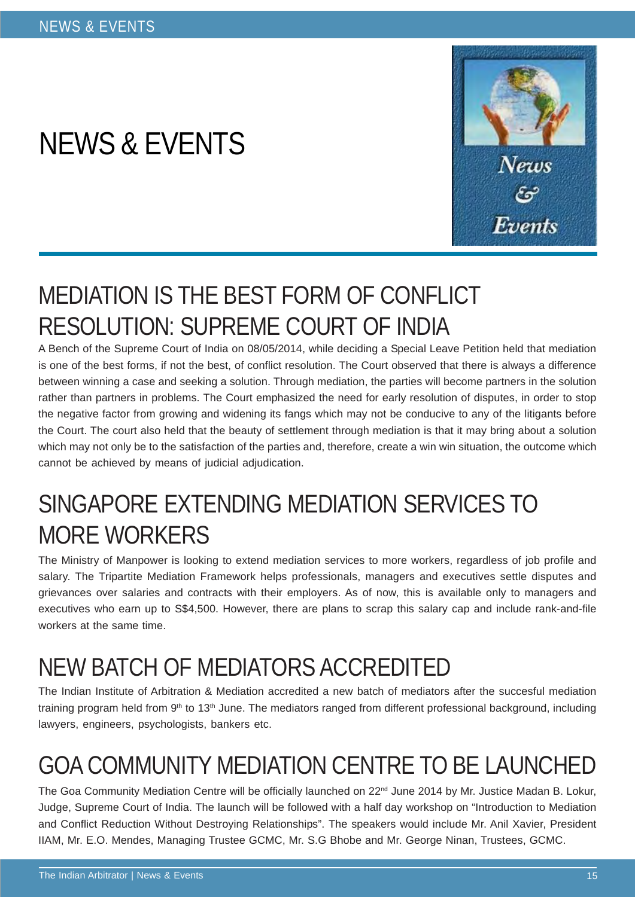# NEWS & EVENTS



## MEDIATION IS THE BEST FORM OF CONFLICT RESOLUTION: SUPREME COURT OF INDIA

A Bench of the Supreme Court of India on 08/05/2014, while deciding a Special Leave Petition held that mediation is one of the best forms, if not the best, of conflict resolution. The Court observed that there is always a difference between winning a case and seeking a solution. Through mediation, the parties will become partners in the solution rather than partners in problems. The Court emphasized the need for early resolution of disputes, in order to stop the negative factor from growing and widening its fangs which may not be conducive to any of the litigants before the Court. The court also held that the beauty of settlement through mediation is that it may bring about a solution which may not only be to the satisfaction of the parties and, therefore, create a win win situation, the outcome which cannot be achieved by means of judicial adjudication.

## SINGAPORE EXTENDING MEDIATION SERVICES TO MORE WORKERS

The Ministry of Manpower is looking to extend mediation services to more workers, regardless of job profile and salary. The Tripartite Mediation Framework helps professionals, managers and executives settle disputes and grievances over salaries and contracts with their employers. As of now, this is available only to managers and executives who earn up to S\$4,500. However, there are plans to scrap this salary cap and include rank-and-file workers at the same time.

## NEW BATCH OF MEDIATORS ACCREDITED

The Indian Institute of Arbitration & Mediation accredited a new batch of mediators after the succesful mediation training program held from  $9<sup>th</sup>$  to 13<sup>th</sup> June. The mediators ranged from different professional background, including lawyers, engineers, psychologists, bankers etc.

# GOA COMMUNITY MEDIATION CENTRE TO BE LAUNCHED

The Goa Community Mediation Centre will be officially launched on 22<sup>nd</sup> June 2014 by Mr. Justice Madan B. Lokur, Judge, Supreme Court of India. The launch will be followed with a half day workshop on "Introduction to Mediation and Conflict Reduction Without Destroying Relationships". The speakers would include Mr. Anil Xavier, President IIAM, Mr. E.O. Mendes, Managing Trustee GCMC, Mr. S.G Bhobe and Mr. George Ninan, Trustees, GCMC.